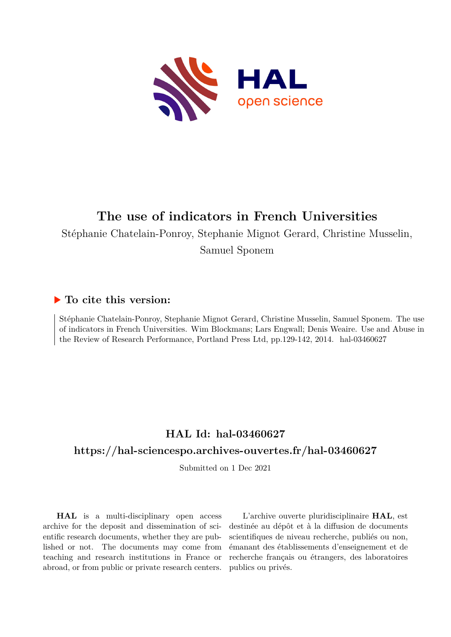

# **The use of indicators in French Universities**

Stéphanie Chatelain-Ponroy, Stephanie Mignot Gerard, Christine Musselin,

Samuel Sponem

# **To cite this version:**

Stéphanie Chatelain-Ponroy, Stephanie Mignot Gerard, Christine Musselin, Samuel Sponem. The use of indicators in French Universities. Wim Blockmans; Lars Engwall; Denis Weaire. Use and Abuse in the Review of Research Performance, Portland Press Ltd, pp.129-142, 2014. hal-03460627

# **HAL Id: hal-03460627 <https://hal-sciencespo.archives-ouvertes.fr/hal-03460627>**

Submitted on 1 Dec 2021

**HAL** is a multi-disciplinary open access archive for the deposit and dissemination of scientific research documents, whether they are published or not. The documents may come from teaching and research institutions in France or abroad, or from public or private research centers.

L'archive ouverte pluridisciplinaire **HAL**, est destinée au dépôt et à la diffusion de documents scientifiques de niveau recherche, publiés ou non, émanant des établissements d'enseignement et de recherche français ou étrangers, des laboratoires publics ou privés.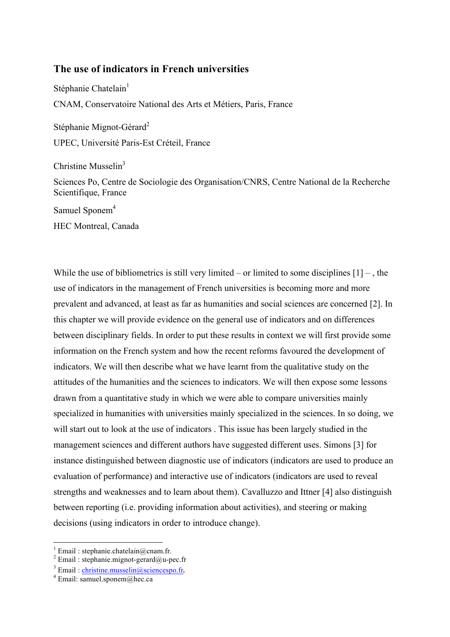# **The use of indicators in French universities**

Stéphanie Chatelain<sup>1</sup> CNAM, Conservatoire National des Arts et Métiers, Paris, France Stéphanie Mignot-Gérard<sup>2</sup>

UPEC, Université Paris-Est Créteil, France

Christine Musselin<sup>3</sup>

Sciences Po, Centre de Sociologie des Organisation/CNRS, Centre National de la Recherche Scientifique, France

Samuel Sponem<sup>4</sup>

HEC Montreal, Canada

While the use of bibliometrics is still very limited – or limited to some disciplines  $[1]$  –, the use of indicators in the management of French universities is becoming more and more prevalent and advanced, at least as far as humanities and social sciences are concerned [2]. In this chapter we will provide evidence on the general use of indicators and on differences between disciplinary fields. In order to put these results in context we will first provide some information on the French system and how the recent reforms favoured the development of indicators. We will then describe what we have learnt from the qualitative study on the attitudes of the humanities and the sciences to indicators. We will then expose some lessons drawn from a quantitative study in which we were able to compare universities mainly specialized in humanities with universities mainly specialized in the sciences. In so doing, we will start out to look at the use of indicators . This issue has been largely studied in the management sciences and different authors have suggested different uses. Simons [3] for instance distinguished between diagnostic use of indicators (indicators are used to produce an evaluation of performance) and interactive use of indicators (indicators are used to reveal strengths and weaknesses and to learn about them). Cavalluzzo and Ittner [4] also distinguish between reporting (i.e. providing information about activities), and steering or making decisions (using indicators in order to introduce change).

<sup>&</sup>lt;sup>1</sup> Email : stephanie.chatelain@cnam.fr.<br><sup>2</sup> Email : stephanie.mignot-gerard@u-pec.fr

<sup>&</sup>lt;sup>3</sup> Email : christine.musselin@sciencespo.fr.  $4^4$  Email: samuel.sponem@hec.ca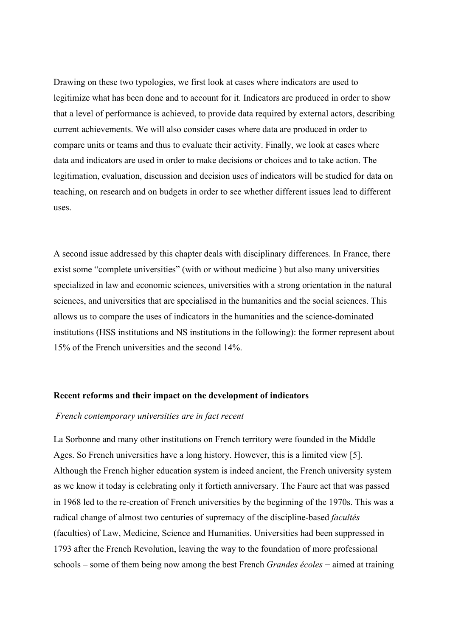Drawing on these two typologies, we first look at cases where indicators are used to legitimize what has been done and to account for it. Indicators are produced in order to show that a level of performance is achieved, to provide data required by external actors, describing current achievements. We will also consider cases where data are produced in order to compare units or teams and thus to evaluate their activity. Finally, we look at cases where data and indicators are used in order to make decisions or choices and to take action. The legitimation, evaluation, discussion and decision uses of indicators will be studied for data on teaching, on research and on budgets in order to see whether different issues lead to different uses.

A second issue addressed by this chapter deals with disciplinary differences. In France, there exist some "complete universities" (with or without medicine ) but also many universities specialized in law and economic sciences, universities with a strong orientation in the natural sciences, and universities that are specialised in the humanities and the social sciences. This allows us to compare the uses of indicators in the humanities and the science-dominated institutions (HSS institutions and NS institutions in the following): the former represent about 15% of the French universities and the second 14%.

### **Recent reforms and their impact on the development of indicators**

### *French contemporary universities are in fact recent*

La Sorbonne and many other institutions on French territory were founded in the Middle Ages. So French universities have a long history. However, this is a limited view [5]. Although the French higher education system is indeed ancient, the French university system as we know it today is celebrating only it fortieth anniversary. The Faure act that was passed in 1968 led to the re-creation of French universities by the beginning of the 1970s. This was a radical change of almost two centuries of supremacy of the discipline-based *facultés* (faculties) of Law, Medicine, Science and Humanities. Universities had been suppressed in 1793 after the French Revolution, leaving the way to the foundation of more professional schools – some of them being now among the best French *Grandes écoles* − aimed at training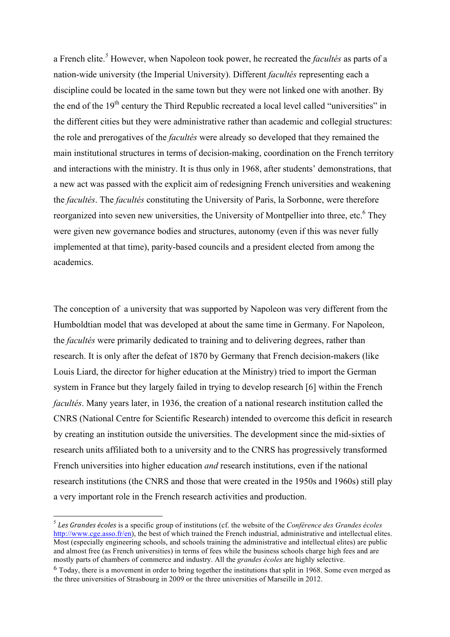a French elite. *<sup>5</sup>* However, when Napoleon took power, he recreated the *facultés* as parts of a nation-wide university (the Imperial University). Different *facultés* representing each a discipline could be located in the same town but they were not linked one with another. By the end of the 19<sup>th</sup> century the Third Republic recreated a local level called "universities" in the different cities but they were administrative rather than academic and collegial structures: the role and prerogatives of the *facultés* were already so developed that they remained the main institutional structures in terms of decision-making, coordination on the French territory and interactions with the ministry. It is thus only in 1968, after students' demonstrations, that a new act was passed with the explicit aim of redesigning French universities and weakening the *facultés*. The *facultés* constituting the University of Paris, la Sorbonne, were therefore reorganized into seven new universities, the University of Montpellier into three, etc.<sup>6</sup> They were given new governance bodies and structures, autonomy (even if this was never fully implemented at that time), parity-based councils and a president elected from among the academics.

The conception of a university that was supported by Napoleon was very different from the Humboldtian model that was developed at about the same time in Germany. For Napoleon, the *facultés* were primarily dedicated to training and to delivering degrees, rather than research. It is only after the defeat of 1870 by Germany that French decision-makers (like Louis Liard, the director for higher education at the Ministry) tried to import the German system in France but they largely failed in trying to develop research [6] within the French *facultés*. Many years later, in 1936, the creation of a national research institution called the CNRS (National Centre for Scientific Research) intended to overcome this deficit in research by creating an institution outside the universities. The development since the mid-sixties of research units affiliated both to a university and to the CNRS has progressively transformed French universities into higher education *and* research institutions, even if the national research institutions (the CNRS and those that were created in the 1950s and 1960s) still play a very important role in the French research activities and production.

 <sup>5</sup> *Les Grandes écoles* is a specific group of institutions (cf. the website of the *Conférence des Grandes écoles* http://www.cge.asso.fr/en), the best of which trained the French industrial, administrative and intellectual elites. Most (especially engineering schools, and schools training the administrative and intellectual elites) are public and almost free (as French universities) in terms of fees while the business schools charge high fees and are mostly parts of chambers of commerce and industry. All the *grandes écoles* are highly selective.

 $6$  Today, there is a movement in order to bring together the institutions that split in 1968. Some even merged as the three universities of Strasbourg in 2009 or the three universities of Marseille in 2012.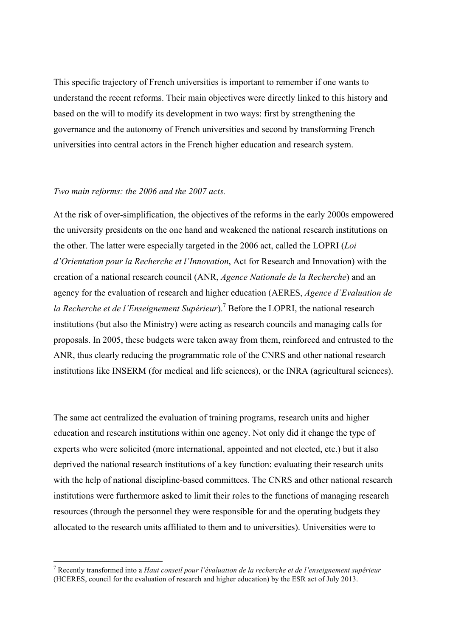This specific trajectory of French universities is important to remember if one wants to understand the recent reforms. Their main objectives were directly linked to this history and based on the will to modify its development in two ways: first by strengthening the governance and the autonomy of French universities and second by transforming French universities into central actors in the French higher education and research system.

## *Two main reforms: the 2006 and the 2007 acts.*

At the risk of over-simplification, the objectives of the reforms in the early 2000s empowered the university presidents on the one hand and weakened the national research institutions on the other. The latter were especially targeted in the 2006 act, called the LOPRI (*Loi d'Orientation pour la Recherche et l'Innovation*, Act for Research and Innovation) with the creation of a national research council (ANR, *Agence Nationale de la Recherche*) and an agency for the evaluation of research and higher education (AERES, *Agence d'Evaluation de la Recherche et de l'Enseignement Supérieur*).<sup>7</sup> Before the LOPRI, the national research institutions (but also the Ministry) were acting as research councils and managing calls for proposals. In 2005, these budgets were taken away from them, reinforced and entrusted to the ANR, thus clearly reducing the programmatic role of the CNRS and other national research institutions like INSERM (for medical and life sciences), or the INRA (agricultural sciences).

The same act centralized the evaluation of training programs, research units and higher education and research institutions within one agency. Not only did it change the type of experts who were solicited (more international, appointed and not elected, etc.) but it also deprived the national research institutions of a key function: evaluating their research units with the help of national discipline-based committees. The CNRS and other national research institutions were furthermore asked to limit their roles to the functions of managing research resources (through the personnel they were responsible for and the operating budgets they allocated to the research units affiliated to them and to universities). Universities were to

 <sup>7</sup> Recently transformed into a *Haut conseil pour l'évaluation de la recherche et de l'enseignement supérieur* (HCERES, council for the evaluation of research and higher education) by the ESR act of July 2013.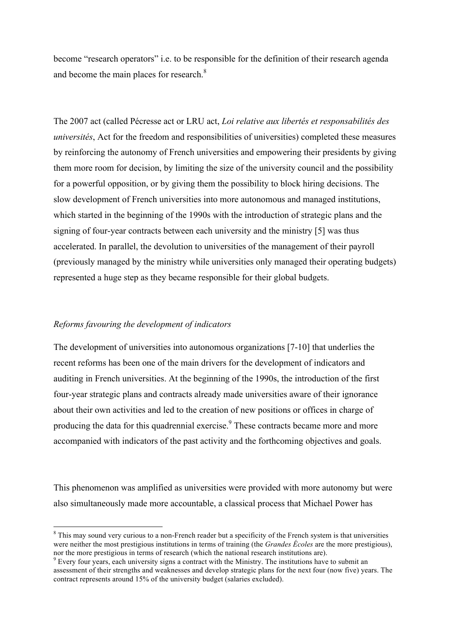become "research operators" i.e. to be responsible for the definition of their research agenda and become the main places for research.<sup>8</sup>

The 2007 act (called Pécresse act or LRU act, *Loi relative aux libertés et responsabilités des universités*, Act for the freedom and responsibilities of universities) completed these measures by reinforcing the autonomy of French universities and empowering their presidents by giving them more room for decision, by limiting the size of the university council and the possibility for a powerful opposition, or by giving them the possibility to block hiring decisions. The slow development of French universities into more autonomous and managed institutions, which started in the beginning of the 1990s with the introduction of strategic plans and the signing of four-year contracts between each university and the ministry [5] was thus accelerated. In parallel, the devolution to universities of the management of their payroll (previously managed by the ministry while universities only managed their operating budgets) represented a huge step as they became responsible for their global budgets.

## *Reforms favouring the development of indicators*

The development of universities into autonomous organizations [7-10] that underlies the recent reforms has been one of the main drivers for the development of indicators and auditing in French universities. At the beginning of the 1990s, the introduction of the first four-year strategic plans and contracts already made universities aware of their ignorance about their own activities and led to the creation of new positions or offices in charge of producing the data for this quadrennial exercise.<sup>9</sup> These contracts became more and more accompanied with indicators of the past activity and the forthcoming objectives and goals.

This phenomenon was amplified as universities were provided with more autonomy but were also simultaneously made more accountable, a classical process that Michael Power has

<sup>&</sup>lt;sup>8</sup> This may sound very curious to a non-French reader but a specificity of the French system is that universities were neither the most prestigious institutions in terms of training (the *Grandes Écoles* are the more prestigious), nor the more prestigious in terms of research (which the national research institutions are).

 $<sup>9</sup>$  Every four years, each university signs a contract with the Ministry. The institutions have to submit an</sup> assessment of their strengths and weaknesses and develop strategic plans for the next four (now five) years. The contract represents around 15% of the university budget (salaries excluded).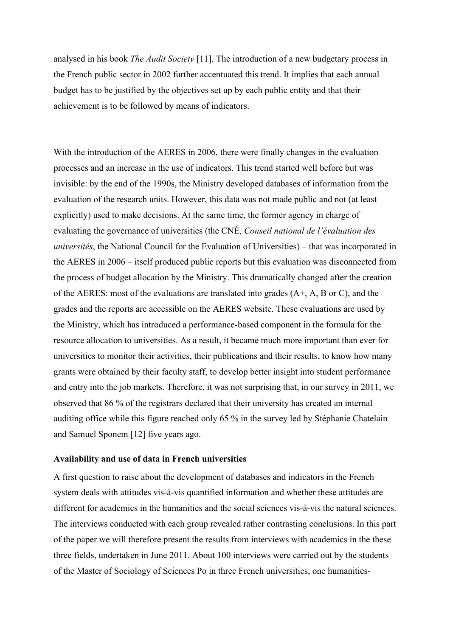analysed in his book *The Audit Society* [11]. The introduction of a new budgetary process in the French public sector in 2002 further accentuated this trend. It implies that each annual budget has to be justified by the objectives set up by each public entity and that their achievement is to be followed by means of indicators.

With the introduction of the AERES in 2006, there were finally changes in the evaluation processes and an increase in the use of indicators. This trend started well before but was invisible: by the end of the 1990s, the Ministry developed databases of information from the evaluation of the research units. However, this data was not made public and not (at least explicitly) used to make decisions. At the same time, the former agency in charge of evaluating the governance of universities (the CNÉ, *Conseil national de l'évaluation des universités*, the National Council for the Evaluation of Universities) – that was incorporated in the AERES in 2006 – itself produced public reports but this evaluation was disconnected from the process of budget allocation by the Ministry. This dramatically changed after the creation of the AERES: most of the evaluations are translated into grades (A+, A, B or C), and the grades and the reports are accessible on the AERES website. These evaluations are used by the Ministry, which has introduced a performance-based component in the formula for the resource allocation to universities. As a result, it became much more important than ever for universities to monitor their activities, their publications and their results, to know how many grants were obtained by their faculty staff, to develop better insight into student performance and entry into the job markets. Therefore, it was not surprising that, in our survey in 2011, we observed that 86 % of the registrars declared that their university has created an internal auditing office while this figure reached only 65 % in the survey led by Stéphanie Chatelain and Samuel Sponem [12] five years ago.

#### **Availability and use of data in French universities**

A first question to raise about the development of databases and indicators in the French system deals with attitudes vis-à-vis quantified information and whether these attitudes are different for academics in the humanities and the social sciences vis-à-vis the natural sciences. The interviews conducted with each group revealed rather contrasting conclusions. In this part of the paper we will therefore present the results from interviews with academics in the these three fields, undertaken in June 2011. About 100 interviews were carried out by the students of the Master of Sociology of Sciences Po in three French universities, one humanities-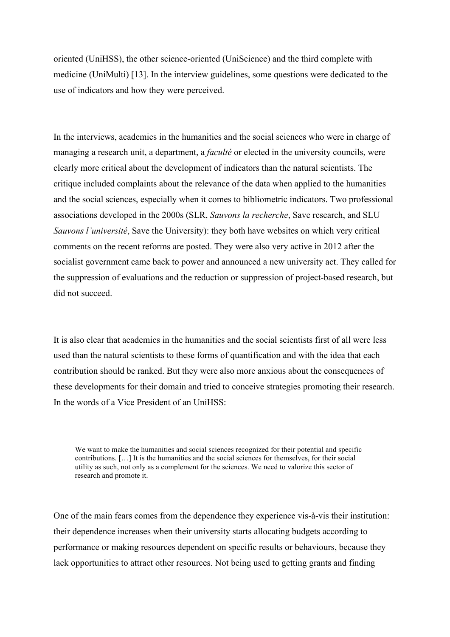oriented (UniHSS), the other science-oriented (UniScience) and the third complete with medicine (UniMulti) [13]. In the interview guidelines, some questions were dedicated to the use of indicators and how they were perceived.

In the interviews, academics in the humanities and the social sciences who were in charge of managing a research unit, a department, a *faculté* or elected in the university councils, were clearly more critical about the development of indicators than the natural scientists. The critique included complaints about the relevance of the data when applied to the humanities and the social sciences, especially when it comes to bibliometric indicators. Two professional associations developed in the 2000s (SLR, *Sauvons la recherche*, Save research, and SLU *Sauvons l'université*, Save the University): they both have websites on which very critical comments on the recent reforms are posted. They were also very active in 2012 after the socialist government came back to power and announced a new university act. They called for the suppression of evaluations and the reduction or suppression of project-based research, but did not succeed.

It is also clear that academics in the humanities and the social scientists first of all were less used than the natural scientists to these forms of quantification and with the idea that each contribution should be ranked. But they were also more anxious about the consequences of these developments for their domain and tried to conceive strategies promoting their research. In the words of a Vice President of an UniHSS:

We want to make the humanities and social sciences recognized for their potential and specific contributions. […] It is the humanities and the social sciences for themselves, for their social utility as such, not only as a complement for the sciences. We need to valorize this sector of research and promote it.

One of the main fears comes from the dependence they experience vis-à-vis their institution: their dependence increases when their university starts allocating budgets according to performance or making resources dependent on specific results or behaviours, because they lack opportunities to attract other resources. Not being used to getting grants and finding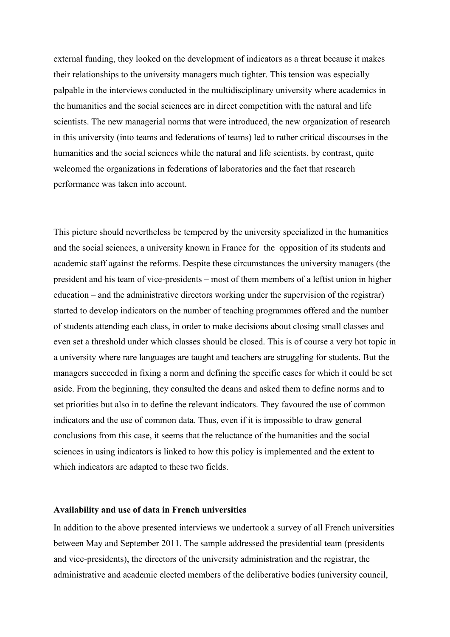external funding, they looked on the development of indicators as a threat because it makes their relationships to the university managers much tighter. This tension was especially palpable in the interviews conducted in the multidisciplinary university where academics in the humanities and the social sciences are in direct competition with the natural and life scientists. The new managerial norms that were introduced, the new organization of research in this university (into teams and federations of teams) led to rather critical discourses in the humanities and the social sciences while the natural and life scientists, by contrast, quite welcomed the organizations in federations of laboratories and the fact that research performance was taken into account.

This picture should nevertheless be tempered by the university specialized in the humanities and the social sciences, a university known in France for the opposition of its students and academic staff against the reforms. Despite these circumstances the university managers (the president and his team of vice-presidents – most of them members of a leftist union in higher education – and the administrative directors working under the supervision of the registrar) started to develop indicators on the number of teaching programmes offered and the number of students attending each class, in order to make decisions about closing small classes and even set a threshold under which classes should be closed. This is of course a very hot topic in a university where rare languages are taught and teachers are struggling for students. But the managers succeeded in fixing a norm and defining the specific cases for which it could be set aside. From the beginning, they consulted the deans and asked them to define norms and to set priorities but also in to define the relevant indicators. They favoured the use of common indicators and the use of common data. Thus, even if it is impossible to draw general conclusions from this case, it seems that the reluctance of the humanities and the social sciences in using indicators is linked to how this policy is implemented and the extent to which indicators are adapted to these two fields.

#### **Availability and use of data in French universities**

In addition to the above presented interviews we undertook a survey of all French universities between May and September 2011. The sample addressed the presidential team (presidents and vice-presidents), the directors of the university administration and the registrar, the administrative and academic elected members of the deliberative bodies (university council,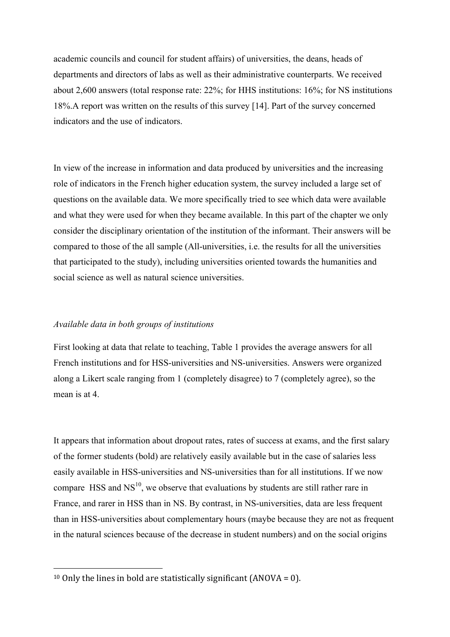academic councils and council for student affairs) of universities, the deans, heads of departments and directors of labs as well as their administrative counterparts. We received about 2,600 answers (total response rate: 22%; for HHS institutions: 16%; for NS institutions 18%.A report was written on the results of this survey [14]. Part of the survey concerned indicators and the use of indicators.

In view of the increase in information and data produced by universities and the increasing role of indicators in the French higher education system, the survey included a large set of questions on the available data. We more specifically tried to see which data were available and what they were used for when they became available. In this part of the chapter we only consider the disciplinary orientation of the institution of the informant. Their answers will be compared to those of the all sample (All-universities, i.e. the results for all the universities that participated to the study), including universities oriented towards the humanities and social science as well as natural science universities.

## *Available data in both groups of institutions*

First looking at data that relate to teaching, Table 1 provides the average answers for all French institutions and for HSS-universities and NS-universities. Answers were organized along a Likert scale ranging from 1 (completely disagree) to 7 (completely agree), so the mean is at 4.

It appears that information about dropout rates, rates of success at exams, and the first salary of the former students (bold) are relatively easily available but in the case of salaries less easily available in HSS-universities and NS-universities than for all institutions. If we now compare HSS and  $NS^{10}$ , we observe that evaluations by students are still rather rare in France, and rarer in HSS than in NS. By contrast, in NS-universities, data are less frequent than in HSS-universities about complementary hours (maybe because they are not as frequent in the natural sciences because of the decrease in student numbers) and on the social origins

 $\overline{a}$ 

<sup>&</sup>lt;sup>10</sup> Only the lines in bold are statistically significant (ANOVA = 0).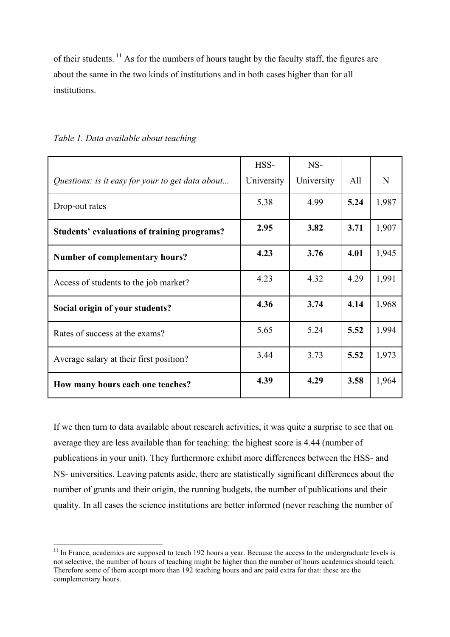of their students. <sup>11</sup> As for the numbers of hours taught by the faculty staff, the figures are about the same in the two kinds of institutions and in both cases higher than for all institutions.

|                                                  | HSS-       | NS-        |      |       |
|--------------------------------------------------|------------|------------|------|-------|
| Questions: is it easy for your to get data about | University | University | All  | N     |
| Drop-out rates                                   | 5.38       | 4.99       | 5.24 | 1,987 |
| Students' evaluations of training programs?      | 2.95       | 3.82       | 3.71 | 1,907 |
| <b>Number of complementary hours?</b>            | 4.23       | 3.76       | 4.01 | 1,945 |
| Access of students to the job market?            | 4.23       | 4.32       | 4.29 | 1,991 |
| Social origin of your students?                  | 4.36       | 3.74       | 4.14 | 1,968 |
| Rates of success at the exams?                   | 5.65       | 5.24       | 5.52 | 1,994 |
| Average salary at their first position?          | 3.44       | 3.73       | 5.52 | 1,973 |
| How many hours each one teaches?                 | 4.39       | 4.29       | 3.58 | 1,964 |

*Table 1. Data available about teaching*

If we then turn to data available about research activities, it was quite a surprise to see that on average they are less available than for teaching: the highest score is 4.44 (number of publications in your unit). They furthermore exhibit more differences between the HSS- and NS- universities. Leaving patents aside, there are statistically significant differences about the number of grants and their origin, the running budgets, the number of publications and their quality. In all cases the science institutions are better informed (never reaching the number of

 $11$  In France, academics are supposed to teach 192 hours a year. Because the access to the undergraduate levels is not selective, the number of hours of teaching might be higher than the number of hours academics should teach. Therefore some of them accept more than 192 teaching hours and are paid extra for that: these are the complementary hours.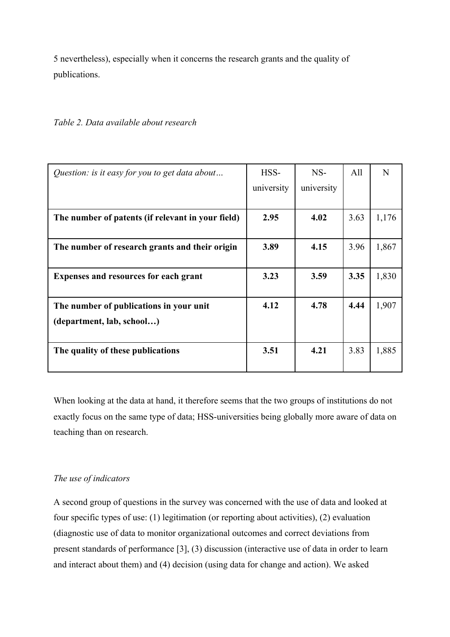5 nevertheless), especially when it concerns the research grants and the quality of publications.

*Table 2. Data available about research*

| Question: is it easy for you to get data about    | HSS-       | $NS-$      | All  | N     |
|---------------------------------------------------|------------|------------|------|-------|
|                                                   | university | university |      |       |
|                                                   |            |            |      |       |
| The number of patents (if relevant in your field) | 2.95       | 4.02       | 3.63 | 1,176 |
|                                                   |            |            |      |       |
| The number of research grants and their origin    | 3.89       | 4.15       | 3.96 | 1,867 |
|                                                   |            |            |      |       |
| <b>Expenses and resources for each grant</b>      | 3.23       | 3.59       | 3.35 | 1,830 |
|                                                   |            |            |      |       |
| The number of publications in your unit           | 4.12       | 4.78       | 4.44 | 1,907 |
| (department, lab, school)                         |            |            |      |       |
|                                                   |            |            |      |       |
| The quality of these publications                 | 3.51       | 4.21       | 3.83 | 1,885 |
|                                                   |            |            |      |       |

When looking at the data at hand, it therefore seems that the two groups of institutions do not exactly focus on the same type of data; HSS-universities being globally more aware of data on teaching than on research.

# *The use of indicators*

A second group of questions in the survey was concerned with the use of data and looked at four specific types of use: (1) legitimation (or reporting about activities), (2) evaluation (diagnostic use of data to monitor organizational outcomes and correct deviations from present standards of performance [3], (3) discussion (interactive use of data in order to learn and interact about them) and (4) decision (using data for change and action). We asked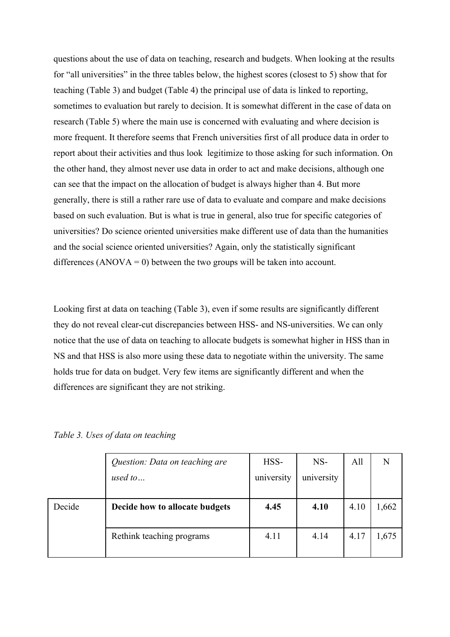questions about the use of data on teaching, research and budgets. When looking at the results for "all universities" in the three tables below, the highest scores (closest to 5) show that for teaching (Table 3) and budget (Table 4) the principal use of data is linked to reporting, sometimes to evaluation but rarely to decision. It is somewhat different in the case of data on research (Table 5) where the main use is concerned with evaluating and where decision is more frequent. It therefore seems that French universities first of all produce data in order to report about their activities and thus look legitimize to those asking for such information. On the other hand, they almost never use data in order to act and make decisions, although one can see that the impact on the allocation of budget is always higher than 4. But more generally, there is still a rather rare use of data to evaluate and compare and make decisions based on such evaluation. But is what is true in general, also true for specific categories of universities? Do science oriented universities make different use of data than the humanities and the social science oriented universities? Again, only the statistically significant differences  $(ANOVA = 0)$  between the two groups will be taken into account.

Looking first at data on teaching (Table 3), even if some results are significantly different they do not reveal clear-cut discrepancies between HSS- and NS-universities. We can only notice that the use of data on teaching to allocate budgets is somewhat higher in HSS than in NS and that HSS is also more using these data to negotiate within the university. The same holds true for data on budget. Very few items are significantly different and when the differences are significant they are not striking.

|        | Question: Data on teaching are | HSS-       | NS-        | All  | N     |
|--------|--------------------------------|------------|------------|------|-------|
|        | used to                        | university | university |      |       |
|        |                                |            |            |      |       |
| Decide | Decide how to allocate budgets | 4.45       | 4.10       | 4.10 | .662  |
|        |                                |            |            |      |       |
|        | Rethink teaching programs      | 4.11       | 4.14       | 4.17 | 1,675 |
|        |                                |            |            |      |       |

*Table 3. Uses of data on teaching*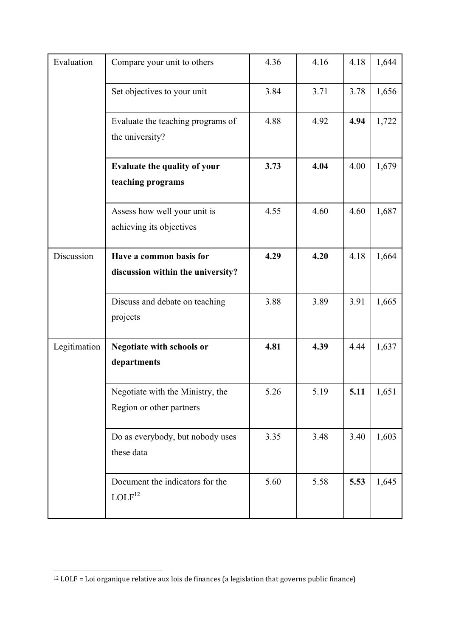| Evaluation   | Compare your unit to others              | 4.36 | 4.16 | 4.18 | 1,644 |
|--------------|------------------------------------------|------|------|------|-------|
|              |                                          |      |      |      |       |
|              | Set objectives to your unit              | 3.84 | 3.71 | 3.78 | 1,656 |
|              | Evaluate the teaching programs of        | 4.88 | 4.92 | 4.94 | 1,722 |
|              | the university?                          |      |      |      |       |
|              | <b>Evaluate the quality of your</b>      | 3.73 | 4.04 | 4.00 | 1,679 |
|              | teaching programs                        |      |      |      |       |
|              | Assess how well your unit is             | 4.55 | 4.60 | 4.60 | 1,687 |
|              | achieving its objectives                 |      |      |      |       |
| Discussion   | Have a common basis for                  | 4.29 | 4.20 | 4.18 | 1,664 |
|              | discussion within the university?        |      |      |      |       |
|              | Discuss and debate on teaching           | 3.88 | 3.89 | 3.91 | 1,665 |
|              | projects                                 |      |      |      |       |
| Legitimation | Negotiate with schools or                | 4.81 | 4.39 | 4.44 | 1,637 |
|              | departments                              |      |      |      |       |
|              | Negotiate with the Ministry, the         | 5.26 | 5.19 | 5.11 | 1,651 |
|              | Region or other partners                 |      |      |      |       |
|              | Do as everybody, but nobody uses         | 3.35 | 3.48 | 3.40 | 1,603 |
|              | these data                               |      |      |      |       |
|              | Document the indicators for the          | 5.60 | 5.58 | 5.53 | 1,645 |
|              | $\ensuremath{\mathrm{LOLF}^{12}}\xspace$ |      |      |      |       |

 $\overline{a}$ 

 $12$  LOLF = Loi organique relative aux lois de finances (a legislation that governs public finance)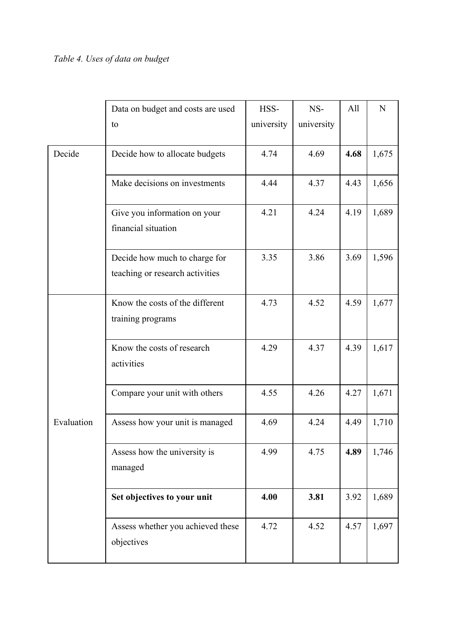|            | Data on budget and costs are used<br>to                          | HSS-<br>university | NS-<br>university | All  | N     |
|------------|------------------------------------------------------------------|--------------------|-------------------|------|-------|
| Decide     | Decide how to allocate budgets                                   | 4.74               | 4.69              | 4.68 | 1,675 |
|            | Make decisions on investments                                    | 4.44               | 4.37              | 4.43 | 1,656 |
|            | Give you information on your<br>financial situation              | 4.21               | 4.24              | 4.19 | 1,689 |
|            | Decide how much to charge for<br>teaching or research activities | 3.35               | 3.86              | 3.69 | 1,596 |
|            | Know the costs of the different<br>training programs             | 4.73               | 4.52              | 4.59 | 1,677 |
|            | Know the costs of research<br>activities                         | 4.29               | 4.37              | 4.39 | 1,617 |
|            | Compare your unit with others                                    | 4.55               | 4.26              | 4.27 | 1,671 |
| Evaluation | Assess how your unit is managed                                  | 4.69               | 4.24              | 4.49 | 1,710 |
|            | Assess how the university is<br>managed                          | 4.99               | 4.75              | 4.89 | 1,746 |
|            | Set objectives to your unit                                      | 4.00               | 3.81              | 3.92 | 1,689 |
|            | Assess whether you achieved these<br>objectives                  | 4.72               | 4.52              | 4.57 | 1,697 |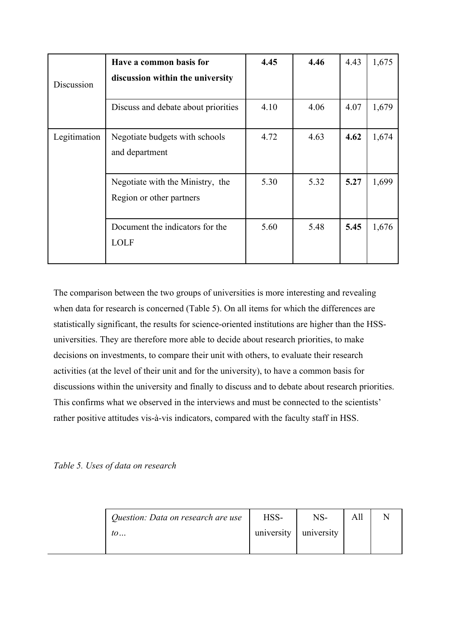| Discussion   | Have a common basis for<br>discussion within the university  | 4.45 | 4.46 | 4.43 | 1,675 |
|--------------|--------------------------------------------------------------|------|------|------|-------|
|              | Discuss and debate about priorities                          | 4.10 | 4.06 | 4.07 | 1,679 |
| Legitimation | Negotiate budgets with schools<br>and department             | 4.72 | 4.63 | 4.62 | 1,674 |
|              | Negotiate with the Ministry, the<br>Region or other partners | 5.30 | 5.32 | 5.27 | 1,699 |
|              | Document the indicators for the<br><b>LOLF</b>               | 5.60 | 5.48 | 5.45 | 1,676 |

The comparison between the two groups of universities is more interesting and revealing when data for research is concerned (Table 5). On all items for which the differences are statistically significant, the results for science-oriented institutions are higher than the HSSuniversities. They are therefore more able to decide about research priorities, to make decisions on investments, to compare their unit with others, to evaluate their research activities (at the level of their unit and for the university), to have a common basis for discussions within the university and finally to discuss and to debate about research priorities. This confirms what we observed in the interviews and must be connected to the scientists' rather positive attitudes vis-à-vis indicators, compared with the faculty staff in HSS.

*Table 5. Uses of data on research*

| Question: Data on research are use | HSS-       | NS-        | All |  |
|------------------------------------|------------|------------|-----|--|
| $\iota$                            | university | university |     |  |
|                                    |            |            |     |  |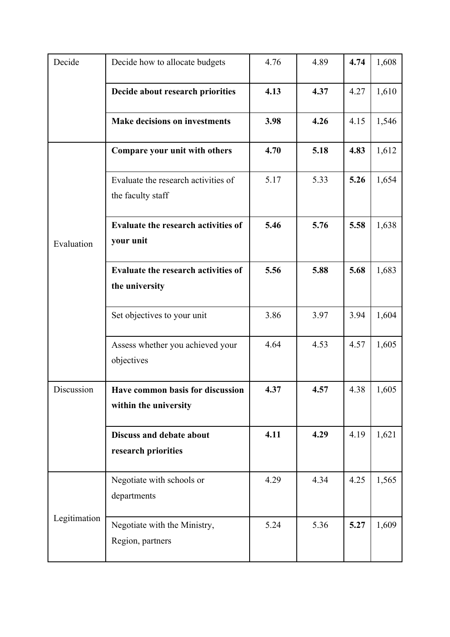| Decide       | Decide how to allocate budgets                            | 4.76 | 4.89 | 4.74 | 1,608 |
|--------------|-----------------------------------------------------------|------|------|------|-------|
|              | Decide about research priorities                          | 4.13 | 4.37 | 4.27 | 1,610 |
|              | <b>Make decisions on investments</b>                      | 3.98 | 4.26 | 4.15 | 1,546 |
|              | Compare your unit with others                             | 4.70 | 5.18 | 4.83 | 1,612 |
|              | Evaluate the research activities of<br>the faculty staff  | 5.17 | 5.33 | 5.26 | 1,654 |
| Evaluation   | Evaluate the research activities of<br>your unit          | 5.46 | 5.76 | 5.58 | 1,638 |
|              | Evaluate the research activities of<br>the university     | 5.56 | 5.88 | 5.68 | 1,683 |
|              | Set objectives to your unit                               | 3.86 | 3.97 | 3.94 | 1,604 |
|              | Assess whether you achieved your<br>objectives            | 4.64 | 4.53 | 4.57 | 1,605 |
| Discussion   | Have common basis for discussion<br>within the university | 4.37 | 4.57 | 4.38 | 1,605 |
|              | Discuss and debate about<br>research priorities           | 4.11 | 4.29 | 4.19 | 1,621 |
| Legitimation | Negotiate with schools or<br>departments                  | 4.29 | 4.34 | 4.25 | 1,565 |
|              | Negotiate with the Ministry,<br>Region, partners          | 5.24 | 5.36 | 5.27 | 1,609 |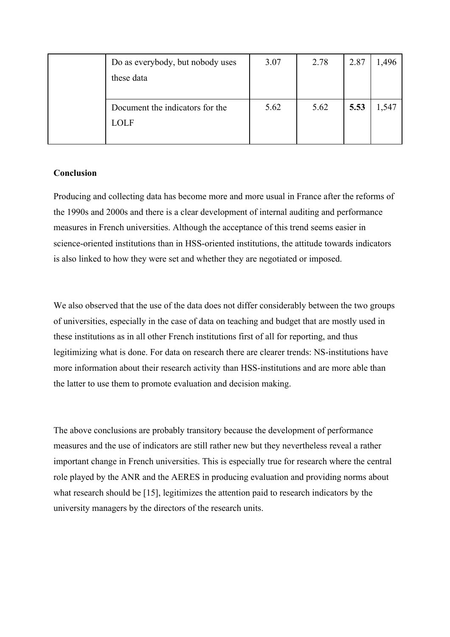| Do as everybody, but nobody uses | 3.07 | 2.78 | 2.87 | ,496 |
|----------------------------------|------|------|------|------|
| these data                       |      |      |      |      |
|                                  |      |      |      |      |
| Document the indicators for the  | 5.62 | 5.62 | 5.53 | ,547 |
| LOLF                             |      |      |      |      |
|                                  |      |      |      |      |

# **Conclusion**

Producing and collecting data has become more and more usual in France after the reforms of the 1990s and 2000s and there is a clear development of internal auditing and performance measures in French universities. Although the acceptance of this trend seems easier in science-oriented institutions than in HSS-oriented institutions, the attitude towards indicators is also linked to how they were set and whether they are negotiated or imposed.

We also observed that the use of the data does not differ considerably between the two groups of universities, especially in the case of data on teaching and budget that are mostly used in these institutions as in all other French institutions first of all for reporting, and thus legitimizing what is done. For data on research there are clearer trends: NS-institutions have more information about their research activity than HSS-institutions and are more able than the latter to use them to promote evaluation and decision making.

The above conclusions are probably transitory because the development of performance measures and the use of indicators are still rather new but they nevertheless reveal a rather important change in French universities. This is especially true for research where the central role played by the ANR and the AERES in producing evaluation and providing norms about what research should be [15], legitimizes the attention paid to research indicators by the university managers by the directors of the research units.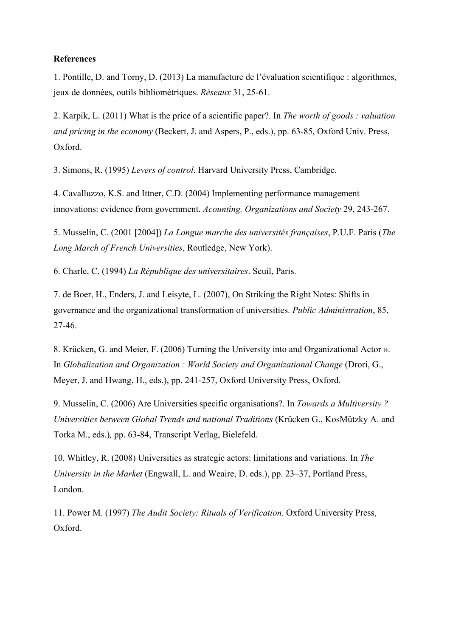## **References**

1. Pontille, D. and Torny, D. (2013) La manufacture de l'évaluation scientifique : algorithmes, jeux de données, outils bibliométriques. *Réseaux* 31, 25-61.

2. Karpik, L. (2011) What is the price of a scientific paper?. In *The worth of goods : valuation and pricing in the economy* (Beckert, J. and Aspers, P., eds.), pp. 63-85, Oxford Univ. Press, Oxford.

3. Simons, R. (1995) *Levers of control*. Harvard University Press, Cambridge.

4. Cavalluzzo, K.S. and Ittner, C.D. (2004) Implementing performance management innovations: evidence from government. *Acounting, Organizations and Society* 29, 243-267.

5. Musselin, C. (2001 [2004]) *La Longue marche des universités françaises*, P.U.F. Paris (*The Long March of French Universities*, Routledge, New York).

6. Charle, C. (1994) *La République des universitaires*. Seuil, Paris.

7. de Boer, H., Enders, J. and Leisyte, L. (2007), On Striking the Right Notes: Shifts in governance and the organizational transformation of universities. *Public Administration*, 85, 27-46.

8. Krücken, G. and Meier, F. (2006) Turning the University into and Organizational Actor ». In *Globalization and Organization : World Society and Organizational Change* (Drori, G., Meyer, J. and Hwang, H., eds.), pp. 241-257, Oxford University Press, Oxford.

9. Musselin, C. (2006) Are Universities specific organisations?. In *Towards a Multiversity ? Universities between Global Trends and national Traditions* (Krücken G., KosMützky A. and Torka M., eds.)*,* pp. 63-84, Transcript Verlag, Bielefeld.

10. Whitley, R. (2008) Universities as strategic actors: limitations and variations. In *The University in the Market* (Engwall, L. and Weaire, D. eds.), pp. 23–37, Portland Press, London.

11. Power M. (1997) *The Audit Society: Rituals of Verification*. Oxford University Press, Oxford.